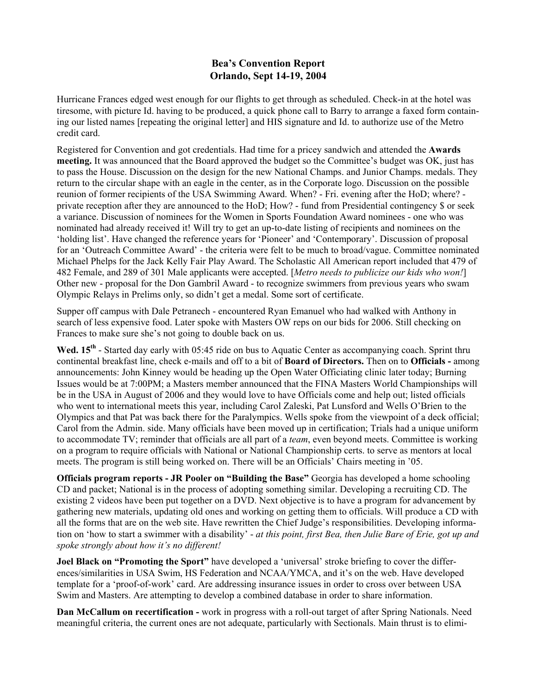## **Bea's Convention Report Orlando, Sept 14-19, 2004**

Hurricane Frances edged west enough for our flights to get through as scheduled. Check-in at the hotel was tiresome, with picture Id. having to be produced, a quick phone call to Barry to arrange a faxed form containing our listed names [repeating the original letter] and HIS signature and Id. to authorize use of the Metro credit card.

Registered for Convention and got credentials. Had time for a pricey sandwich and attended the **Awards meeting.** It was announced that the Board approved the budget so the Committee's budget was OK, just has to pass the House. Discussion on the design for the new National Champs. and Junior Champs. medals. They return to the circular shape with an eagle in the center, as in the Corporate logo. Discussion on the possible reunion of former recipients of the USA Swimming Award. When? - Fri. evening after the HoD; where? private reception after they are announced to the HoD; How? - fund from Presidential contingency \$ or seek a variance. Discussion of nominees for the Women in Sports Foundation Award nominees - one who was nominated had already received it! Will try to get an up-to-date listing of recipients and nominees on the 'holding list'. Have changed the reference years for 'Pioneer' and 'Contemporary'. Discussion of proposal for an 'Outreach Committee Award' - the criteria were felt to be much to broad/vague. Committee nominated Michael Phelps for the Jack Kelly Fair Play Award. The Scholastic All American report included that 479 of 482 Female, and 289 of 301 Male applicants were accepted. [*Metro needs to publicize our kids who won!*] Other new - proposal for the Don Gambril Award - to recognize swimmers from previous years who swam Olympic Relays in Prelims only, so didn't get a medal. Some sort of certificate.

Supper off campus with Dale Petranech - encountered Ryan Emanuel who had walked with Anthony in search of less expensive food. Later spoke with Masters OW reps on our bids for 2006. Still checking on Frances to make sure she's not going to double back on us.

Wed. 15<sup>th</sup> - Started day early with 05:45 ride on bus to Aquatic Center as accompanying coach. Sprint thru continental breakfast line, check e-mails and off to a bit of **Board of Directors.** Then on to **Officials -** among announcements: John Kinney would be heading up the Open Water Officiating clinic later today; Burning Issues would be at 7:00PM; a Masters member announced that the FINA Masters World Championships will be in the USA in August of 2006 and they would love to have Officials come and help out; listed officials who went to international meets this year, including Carol Zaleski, Pat Lunsford and Wells O'Brien to the Olympics and that Pat was back there for the Paralympics. Wells spoke from the viewpoint of a deck official; Carol from the Admin. side. Many officials have been moved up in certification; Trials had a unique uniform to accommodate TV; reminder that officials are all part of a *team*, even beyond meets. Committee is working on a program to require officials with National or National Championship certs. to serve as mentors at local meets. The program is still being worked on. There will be an Officials' Chairs meeting in '05.

**Officials program reports - JR Pooler on "Building the Base"** Georgia has developed a home schooling CD and packet; National is in the process of adopting something similar. Developing a recruiting CD. The existing 2 videos have been put together on a DVD. Next objective is to have a program for advancement by gathering new materials, updating old ones and working on getting them to officials. Will produce a CD with all the forms that are on the web site. Have rewritten the Chief Judge's responsibilities. Developing information on 'how to start a swimmer with a disability' - *at this point, first Bea, then Julie Bare of Erie, got up and spoke strongly about how it's no different!*

**Joel Black on "Promoting the Sport"** have developed a 'universal' stroke briefing to cover the differences/similarities in USA Swim, HS Federation and NCAA/YMCA, and it's on the web. Have developed template for a 'proof-of-work' card. Are addressing insurance issues in order to cross over between USA Swim and Masters. Are attempting to develop a combined database in order to share information.

**Dan McCallum on recertification -** work in progress with a roll-out target of after Spring Nationals. Need meaningful criteria, the current ones are not adequate, particularly with Sectionals. Main thrust is to elimi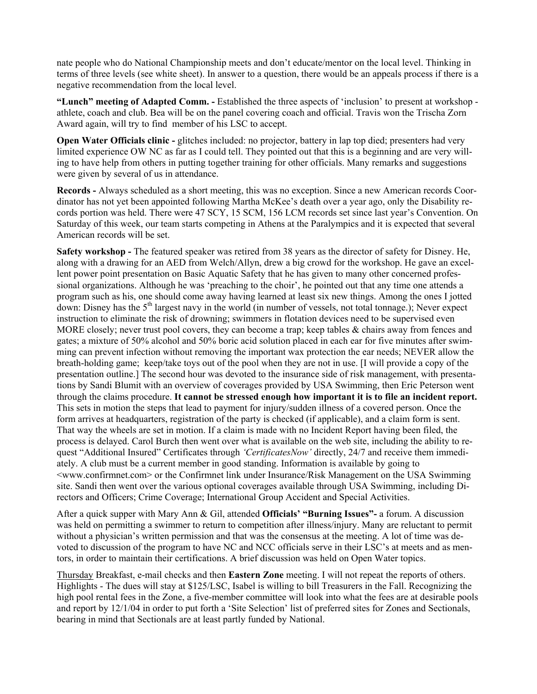nate people who do National Championship meets and don't educate/mentor on the local level. Thinking in terms of three levels (see white sheet). In answer to a question, there would be an appeals process if there is a negative recommendation from the local level.

**"Lunch" meeting of Adapted Comm. -** Established the three aspects of 'inclusion' to present at workshop athlete, coach and club. Bea will be on the panel covering coach and official. Travis won the Trischa Zorn Award again, will try to find member of his LSC to accept.

**Open Water Officials clinic -** glitches included: no projector, battery in lap top died; presenters had very limited experience OW NC as far as I could tell. They pointed out that this is a beginning and are very willing to have help from others in putting together training for other officials. Many remarks and suggestions were given by several of us in attendance.

**Records -** Always scheduled as a short meeting, this was no exception. Since a new American records Coordinator has not yet been appointed following Martha McKee's death over a year ago, only the Disability records portion was held. There were 47 SCY, 15 SCM, 156 LCM records set since last year's Convention. On Saturday of this week, our team starts competing in Athens at the Paralympics and it is expected that several American records will be set.

**Safety workshop -** The featured speaker was retired from 38 years as the director of safety for Disney. He, along with a drawing for an AED from Welch/Allyn, drew a big crowd for the workshop. He gave an excellent power point presentation on Basic Aquatic Safety that he has given to many other concerned professional organizations. Although he was 'preaching to the choir', he pointed out that any time one attends a program such as his, one should come away having learned at least six new things. Among the ones I jotted down: Disney has the  $5<sup>th</sup>$  largest navy in the world (in number of vessels, not total tonnage.); Never expect instruction to eliminate the risk of drowning; swimmers in flotation devices need to be supervised even MORE closely; never trust pool covers, they can become a trap; keep tables & chairs away from fences and gates; a mixture of 50% alcohol and 50% boric acid solution placed in each ear for five minutes after swimming can prevent infection without removing the important wax protection the ear needs; NEVER allow the breath-holding game; keep/take toys out of the pool when they are not in use. [I will provide a copy of the presentation outline.] The second hour was devoted to the insurance side of risk management, with presentations by Sandi Blumit with an overview of coverages provided by USA Swimming, then Eric Peterson went through the claims procedure. **It cannot be stressed enough how important it is to file an incident report.** This sets in motion the steps that lead to payment for injury/sudden illness of a covered person. Once the form arrives at headquarters, registration of the party is checked (if applicable), and a claim form is sent. That way the wheels are set in motion. If a claim is made with no Incident Report having been filed, the process is delayed. Carol Burch then went over what is available on the web site, including the ability to request "Additional Insured" Certificates through *'CertificatesNow'* directly, 24/7 and receive them immediately. A club must be a current member in good standing. Information is available by going to <www.confirmnet.com> or the Confirmnet link under Insurance/Risk Management on the USA Swimming site. Sandi then went over the various optional coverages available through USA Swimming, including Directors and Officers; Crime Coverage; International Group Accident and Special Activities.

After a quick supper with Mary Ann & Gil, attended **Officials' "Burning Issues"-** a forum. A discussion was held on permitting a swimmer to return to competition after illness/injury. Many are reluctant to permit without a physician's written permission and that was the consensus at the meeting. A lot of time was devoted to discussion of the program to have NC and NCC officials serve in their LSC's at meets and as mentors, in order to maintain their certifications. A brief discussion was held on Open Water topics.

Thursday Breakfast, e-mail checks and then **Eastern Zone** meeting. I will not repeat the reports of others. Highlights - The dues will stay at \$125/LSC, Isabel is willing to bill Treasurers in the Fall. Recognizing the high pool rental fees in the Zone, a five-member committee will look into what the fees are at desirable pools and report by 12/1/04 in order to put forth a 'Site Selection' list of preferred sites for Zones and Sectionals, bearing in mind that Sectionals are at least partly funded by National.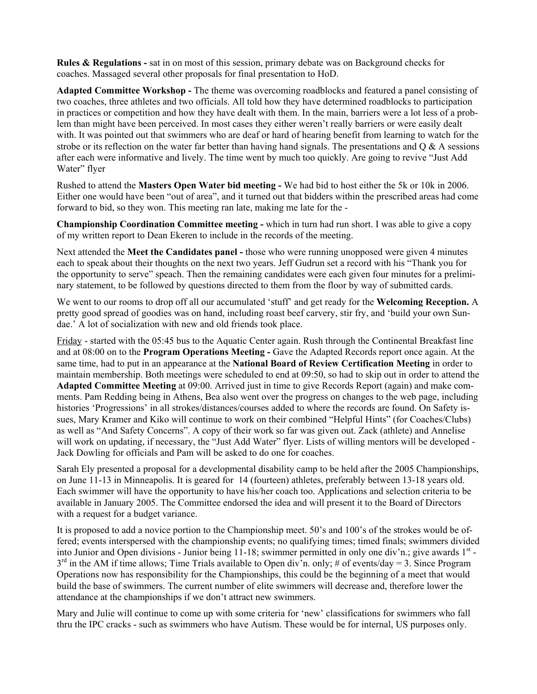**Rules & Regulations -** sat in on most of this session, primary debate was on Background checks for coaches. Massaged several other proposals for final presentation to HoD.

**Adapted Committee Workshop -** The theme was overcoming roadblocks and featured a panel consisting of two coaches, three athletes and two officials. All told how they have determined roadblocks to participation in practices or competition and how they have dealt with them. In the main, barriers were a lot less of a problem than might have been perceived. In most cases they either weren't really barriers or were easily dealt with. It was pointed out that swimmers who are deaf or hard of hearing benefit from learning to watch for the strobe or its reflection on the water far better than having hand signals. The presentations and  $Q \& A$  sessions after each were informative and lively. The time went by much too quickly. Are going to revive "Just Add Water" flyer

Rushed to attend the **Masters Open Water bid meeting -** We had bid to host either the 5k or 10k in 2006. Either one would have been "out of area", and it turned out that bidders within the prescribed areas had come forward to bid, so they won. This meeting ran late, making me late for the -

**Championship Coordination Committee meeting -** which in turn had run short. I was able to give a copy of my written report to Dean Ekeren to include in the records of the meeting.

Next attended the **Meet the Candidates panel -** those who were running unopposed were given 4 minutes each to speak about their thoughts on the next two years. Jeff Gudrun set a record with his "Thank you for the opportunity to serve" speach. Then the remaining candidates were each given four minutes for a preliminary statement, to be followed by questions directed to them from the floor by way of submitted cards.

We went to our rooms to drop off all our accumulated 'stuff' and get ready for the **Welcoming Reception.** A pretty good spread of goodies was on hand, including roast beef carvery, stir fry, and 'build your own Sundae.' A lot of socialization with new and old friends took place.

Friday - started with the 05:45 bus to the Aquatic Center again. Rush through the Continental Breakfast line and at 08:00 on to the **Program Operations Meeting -** Gave the Adapted Records report once again. At the same time, had to put in an appearance at the **National Board of Review Certification Meeting** in order to maintain membership. Both meetings were scheduled to end at 09:50, so had to skip out in order to attend the **Adapted Committee Meeting** at 09:00. Arrived just in time to give Records Report (again) and make comments. Pam Redding being in Athens, Bea also went over the progress on changes to the web page, including histories 'Progressions' in all strokes/distances/courses added to where the records are found. On Safety issues, Mary Kramer and Kiko will continue to work on their combined "Helpful Hints" (for Coaches/Clubs) as well as "And Safety Concerns". A copy of their work so far was given out. Zack (athlete) and Annelise will work on updating, if necessary, the "Just Add Water" flyer. Lists of willing mentors will be developed -Jack Dowling for officials and Pam will be asked to do one for coaches.

Sarah Ely presented a proposal for a developmental disability camp to be held after the 2005 Championships, on June 11-13 in Minneapolis. It is geared for 14 (fourteen) athletes, preferably between 13-18 years old. Each swimmer will have the opportunity to have his/her coach too. Applications and selection criteria to be available in January 2005. The Committee endorsed the idea and will present it to the Board of Directors with a request for a budget variance.

It is proposed to add a novice portion to the Championship meet. 50's and 100's of the strokes would be offered; events interspersed with the championship events; no qualifying times; timed finals; swimmers divided into Junior and Open divisions - Junior being  $11-18$ ; swimmer permitted in only one div'n.; give awards  $1<sup>st</sup>$  - $3<sup>rd</sup>$  in the AM if time allows; Time Trials available to Open div'n. only; # of events/day = 3. Since Program Operations now has responsibility for the Championships, this could be the beginning of a meet that would build the base of swimmers. The current number of elite swimmers will decrease and, therefore lower the attendance at the championships if we don't attract new swimmers.

Mary and Julie will continue to come up with some criteria for 'new' classifications for swimmers who fall thru the IPC cracks - such as swimmers who have Autism. These would be for internal, US purposes only.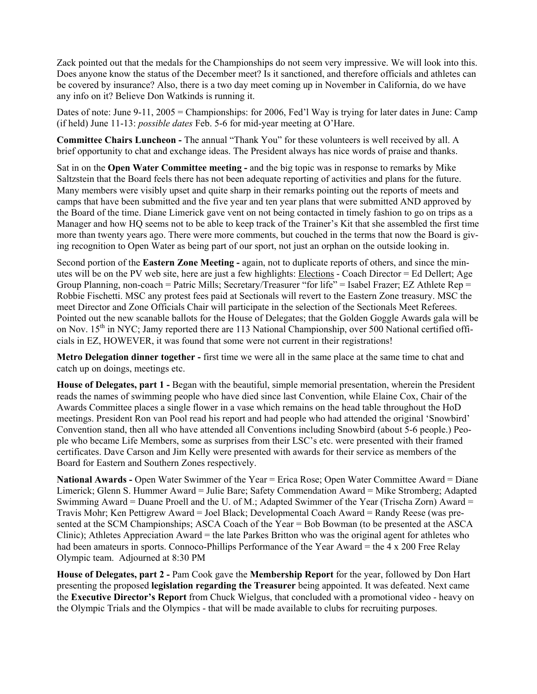Zack pointed out that the medals for the Championships do not seem very impressive. We will look into this. Does anyone know the status of the December meet? Is it sanctioned, and therefore officials and athletes can be covered by insurance? Also, there is a two day meet coming up in November in California, do we have any info on it? Believe Don Watkinds is running it.

Dates of note: June 9-11, 2005 = Championships: for 2006, Fed'l Way is trying for later dates in June: Camp (if held) June 11-13: *possible dates* Feb. 5-6 for mid-year meeting at O'Hare.

**Committee Chairs Luncheon -** The annual "Thank You" for these volunteers is well received by all. A brief opportunity to chat and exchange ideas. The President always has nice words of praise and thanks.

Sat in on the **Open Water Committee meeting -** and the big topic was in response to remarks by Mike Saltzstein that the Board feels there has not been adequate reporting of activities and plans for the future. Many members were visibly upset and quite sharp in their remarks pointing out the reports of meets and camps that have been submitted and the five year and ten year plans that were submitted AND approved by the Board of the time. Diane Limerick gave vent on not being contacted in timely fashion to go on trips as a Manager and how HQ seems not to be able to keep track of the Trainer's Kit that she assembled the first time more than twenty years ago. There were more comments, but couched in the terms that now the Board is giving recognition to Open Water as being part of our sport, not just an orphan on the outside looking in.

Second portion of the **Eastern Zone Meeting -** again, not to duplicate reports of others, and since the minutes will be on the PV web site, here are just a few highlights: Elections - Coach Director = Ed Dellert; Age Group Planning, non-coach = Patric Mills; Secretary/Treasurer "for life" = Isabel Frazer; EZ Athlete Rep = Robbie Fischetti. MSC any protest fees paid at Sectionals will revert to the Eastern Zone treasury. MSC the meet Director and Zone Officials Chair will participate in the selection of the Sectionals Meet Referees. Pointed out the new scanable ballots for the House of Delegates; that the Golden Goggle Awards gala will be on Nov. 15<sup>th</sup> in NYC; Jamy reported there are 113 National Championship, over 500 National certified officials in EZ, HOWEVER, it was found that some were not current in their registrations!

**Metro Delegation dinner together -** first time we were all in the same place at the same time to chat and catch up on doings, meetings etc.

**House of Delegates, part 1 -** Began with the beautiful, simple memorial presentation, wherein the President reads the names of swimming people who have died since last Convention, while Elaine Cox, Chair of the Awards Committee places a single flower in a vase which remains on the head table throughout the HoD meetings. President Ron van Pool read his report and had people who had attended the original 'Snowbird' Convention stand, then all who have attended all Conventions including Snowbird (about 5-6 people.) People who became Life Members, some as surprises from their LSC's etc. were presented with their framed certificates. Dave Carson and Jim Kelly were presented with awards for their service as members of the Board for Eastern and Southern Zones respectively.

**National Awards -** Open Water Swimmer of the Year = Erica Rose; Open Water Committee Award = Diane Limerick; Glenn S. Hummer Award = Julie Bare; Safety Commendation Award = Mike Stromberg; Adapted Swimming Award = Duane Proell and the U. of M.; Adapted Swimmer of the Year (Trischa Zorn) Award = Travis Mohr; Ken Pettigrew Award = Joel Black; Developmental Coach Award = Randy Reese (was presented at the SCM Championships; ASCA Coach of the Year = Bob Bowman (to be presented at the ASCA Clinic); Athletes Appreciation Award = the late Parkes Britton who was the original agent for athletes who had been amateurs in sports. Connoco-Phillips Performance of the Year Award = the 4 x 200 Free Relay Olympic team. Adjourned at 8:30 PM

**House of Delegates, part 2 -** Pam Cook gave the **Membership Report** for the year, followed by Don Hart presenting the proposed **legislation regarding the Treasurer** being appointed. It was defeated. Next came the **Executive Director's Report** from Chuck Wielgus, that concluded with a promotional video - heavy on the Olympic Trials and the Olympics - that will be made available to clubs for recruiting purposes.